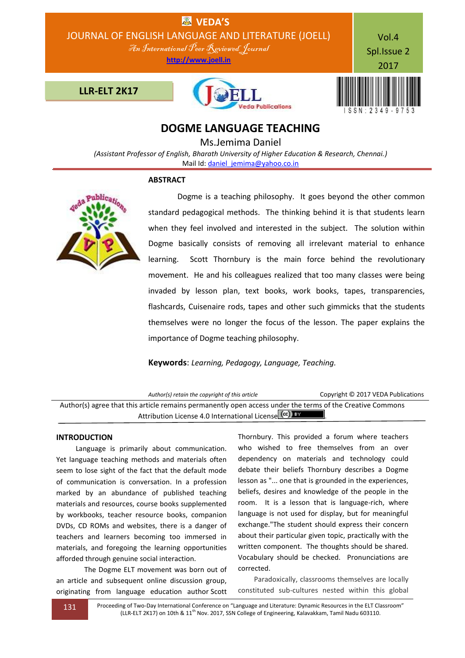

# **DOGME LANGUAGE TEACHING**

Ms.Jemima Daniel

*(Assistant Professor of English, Bharath University of Higher Education & Research, Chennai.)* Mail Id[: daniel\\_jemima@yahoo.co.in](mailto:daniel_jemima@yahoo.co.in)

#### **ABSTRACT**



 Dogme is a teaching philosophy. It goes beyond the other common standard pedagogical methods. The thinking behind it is that students learn when they feel involved and interested in the subject. The solution within Dogme basically consists of removing all irrelevant material to enhance learning. Scott Thornbury is the main force behind the revolutionary movement. He and his colleagues realized that too many classes were being invaded by lesson plan, text books, work books, tapes, transparencies, flashcards, Cuisenaire rods, tapes and other such gimmicks that the students themselves were no longer the focus of the lesson. The paper explains the importance of Dogme teaching philosophy.

## **Keywords**: *Learning, Pedagogy, Language, Teaching.*

| Author(s) retain the copyright of this article                                                            | Copyright © 2017 VEDA Publications |
|-----------------------------------------------------------------------------------------------------------|------------------------------------|
| Author(s) agree that this article remains permanently open access under the terms of the Creative Commons |                                    |
| Attribution License 4.0 International License (cc) BY                                                     |                                    |

## **INTRODUCTION**

 Language is primarily about communication. Yet language teaching methods and materials often seem to lose sight of the fact that the default mode of communication is conversation. In a profession marked by an abundance of published teaching materials and resources, course books supplemented by workbooks, teacher resource books, companion DVDs, CD ROMs and websites, there is a danger of teachers and learners becoming too immersed in materials, and foregoing the learning opportunities afforded through genuine social interaction.

The Dogme ELT movement was born out of an article and subsequent online discussion group, originating from language education author Scott Thornbury. This provided a forum where teachers who wished to free themselves from an over dependency on materials and technology could debate their beliefs Thornbury describes a Dogme lesson as "... one that is grounded in the experiences, beliefs, desires and knowledge of the people in the room. It is a lesson that is language-rich, where language is not used for display, but for meaningful exchange."The student should express their concern about their particular given topic, practically with the written component. The thoughts should be shared. Vocabulary should be checked. Pronunciations are corrected.

 Paradoxically, classrooms themselves are locally constituted sub-cultures nested within this global

131 Proceeding of Two-Day International Conference on "Language and Literature: Dynamic Resources in the ELT Classroom" (LLR-ELT 2K17) on 10th & 11th Nov. 2017, SSN College of Engineering, Kalavakkam, Tamil Nadu 603110.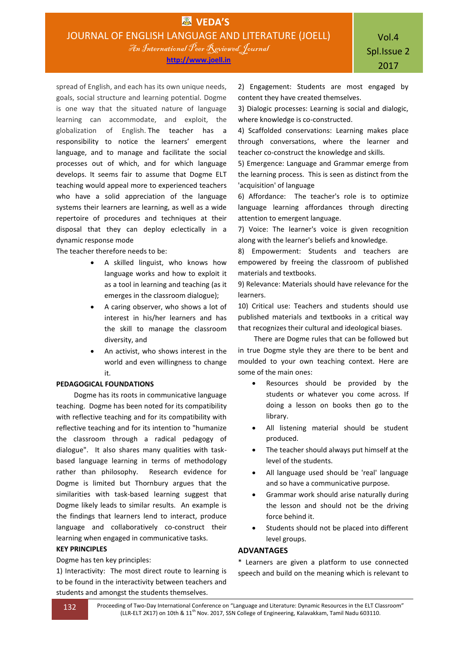**http://www.joell.in**

spread of English, and each has its own unique needs, goals, social structure and learning potential. Dogme is one way that the situated nature of language learning can accommodate, and exploit, the globalization of English. The teacher has a responsibility to notice the learners' emergent language, and to manage and facilitate the social processes out of which, and for which language develops. It seems fair to assume that Dogme ELT teaching would appeal more to experienced teachers who have a solid appreciation of the language systems their learners are learning, as well as a wide repertoire of procedures and techniques at their disposal that they can deploy eclectically in a dynamic response mode

The teacher therefore needs to be:

- A skilled linguist, who knows how language works and how to exploit it as a tool in learning and teaching (as it emerges in the classroom dialogue);
- A caring observer, who shows a lot of interest in his/her learners and has the skill to manage the classroom diversity, and
- An activist, who shows interest in the world and even willingness to change it.

## **PEDAGOGICAL FOUNDATIONS**

Dogme has its roots in communicative language teaching. Dogme has been noted for its compatibility with reflective teaching and for its compatibility with reflective teaching and for its intention to "humanize the classroom through a radical pedagogy of dialogue". It also shares many qualities with taskbased language learning in terms of methodology rather than philosophy. Research evidence for Dogme is limited but Thornbury argues that the similarities with task-based learning suggest that Dogme likely leads to similar results. An example is the findings that learners lend to interact, produce language and collaboratively co-construct their learning when engaged in communicative tasks.

## **KEY PRINCIPLES**

## Dogme has ten key principles:

1) Interactivity: The most direct route to learning is to be found in the interactivity between teachers and students and amongst the students themselves.

2) Engagement: Students are most engaged by content they have created themselves.

3) Dialogic processes: Learning is social and dialogic, where knowledge is co-constructed.

4) Scaffolded conservations: Learning makes place through conversations, where the learner and teacher co-construct the knowledge and skills.

5) Emergence: Language and Grammar emerge from the learning process. This is seen as distinct from the 'acquisition' of language

6) Affordance: The teacher's role is to optimize language learning affordances through directing attention to emergent language.

7) Voice: The learner's voice is given recognition along with the learner's beliefs and knowledge.

8) Empowerment: Students and teachers are empowered by freeing the classroom of published materials and textbooks.

9) Relevance: Materials should have relevance for the learners.

10) Critical use: Teachers and students should use published materials and textbooks in a critical way that recognizes their cultural and ideological biases.

 There are Dogme rules that can be followed but in true Dogme style they are there to be bent and moulded to your own teaching context. Here are some of the main ones:

- Resources should be provided by the students or whatever you come across. If doing a lesson on books then go to the library.
- All listening material should be student produced.
- The teacher should always put himself at the level of the students.
- All language used should be 'real' language and so have a communicative purpose.
- Grammar work should arise naturally during the lesson and should not be the driving force behind it.
- Students should not be placed into different level groups.

## **ADVANTAGES**

\* Learners are given a platform to use connected speech and build on the meaning which is relevant to

132 Proceeding of Two-Day International Conference on "Language and Literature: Dynamic Resources in the ELT Classroom" (LLR-ELT 2K17) on 10th & 11<sup>th</sup> Nov. 2017, SSN College of Engineering, Kalavakkam, Tamil Nadu 603110.